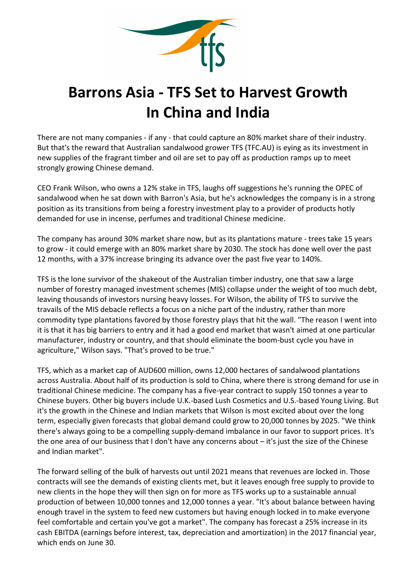

## Barrons Asia - TFS Set to Harvest Growth In China and India

There are not many companies - if any - that could capture an 80% market share of their industry. But that's the reward that Australian sandalwood grower TFS (TFC.AU) is eying as its investment in new supplies of the fragrant timber and oil are set to pay off as production ramps up to meet strongly growing Chinese demand.

CEO Frank Wilson, who owns a 12% stake in TFS, laughs off suggestions he's running the OPEC of sandalwood when he sat down with Barron's Asia, but he's acknowledges the company is in a strong position as its transitions from being a forestry investment play to a provider of products hotly demanded for use in incense, perfumes and traditional Chinese medicine.

The company has around 30% market share now, but as its plantations mature - trees take 15 years to grow - it could emerge with an 80% market share by 2030. The stock has done well over the past 12 months, with a 37% increase bringing its advance over the past five year to 140%.

TFS is the lone survivor of the shakeout of the Australian timber industry, one that saw a large number of forestry managed investment schemes (MIS) collapse under the weight of too much debt, leaving thousands of investors nursing heavy losses. For Wilson, the ability of TFS to survive the travails of the MIS debacle reflects a focus on a niche part of the industry, rather than more commodity type plantations favored by those forestry plays that hit the wall. "The reason I went into it is that it has big barriers to entry and it had a good end market that wasn't aimed at one particular manufacturer, industry or country, and that should eliminate the boom-bust cycle you have in agriculture," Wilson says. "That's proved to be true."

TFS, which as a market cap of AUD600 million, owns 12,000 hectares of sandalwood plantations across Australia. About half of its production is sold to China, where there is strong demand for use in traditional Chinese medicine. The company has a five-year contract to supply 150 tonnes a year to Chinese buyers. Other big buyers include U.K.-based Lush Cosmetics and U.S.-based Young Living. But it's the growth in the Chinese and Indian markets that Wilson is most excited about over the long term, especially given forecasts that global demand could grow to 20,000 tonnes by 2025. "We think there's always going to be a compelling supply-demand imbalance in our favor to support prices. It's the one area of our business that I don't have any concerns about – it's just the size of the Chinese and Indian market".

The forward selling of the bulk of harvests out until 2021 means that revenues are locked in. Those contracts will see the demands of existing clients met, but it leaves enough free supply to provide to new clients in the hope they will then sign on for more as TFS works up to a sustainable annual production of between 10,000 tonnes and 12,000 tonnes a year. "It's about balance between having enough travel in the system to feed new customers but having enough locked in to make everyone feel comfortable and certain you've got a market". The company has forecast a 25% increase in its cash EBITDA (earnings before interest, tax, depreciation and amortization) in the 2017 financial year, which ends on June 30.